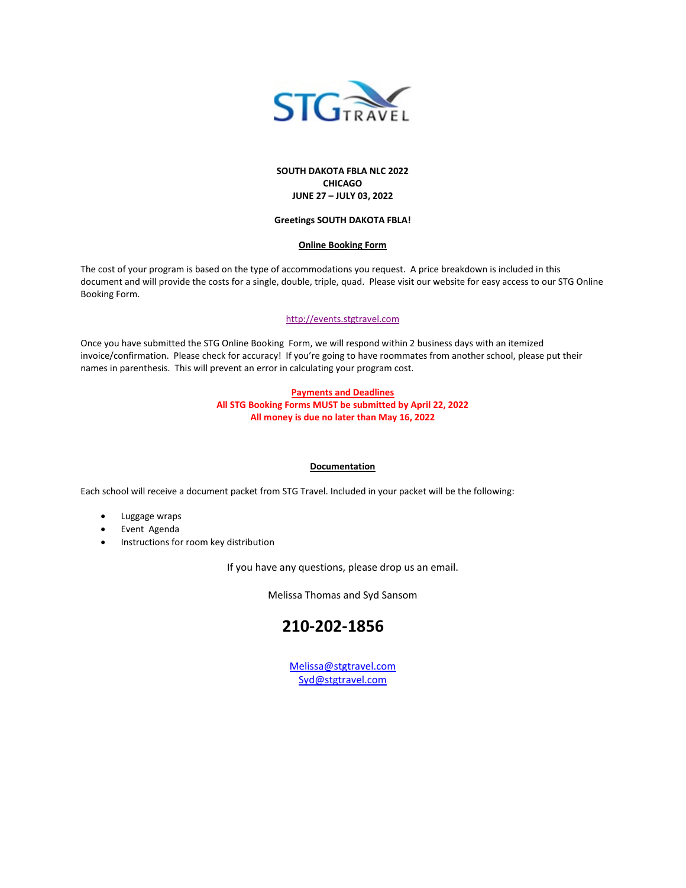

#### **SOUTH DAKOTA FBLA NLC 2022 CHICAGO JUNE 27 – JULY 03, 2022**

#### **Greetings SOUTH DAKOTA FBLA!**

#### **Online Booking Form**

The cost of your program is based on the type of accommodations you request. A price breakdown is included in this document and will provide the costs for a single, double, triple, quad. Please visit our website for easy access to our STG Online Booking Form.

#### [http://events.stgtravel.com](http://events.stgtravel.com/)

Once you have submitted the STG Online Booking Form, we will respond within 2 business days with an itemized invoice/confirmation. Please check for accuracy! If you're going to have roommates from another school, please put their names in parenthesis. This will prevent an error in calculating your program cost.

#### **Payments and Deadlines All STG Booking Forms MUST be submitted by April 22, 2022 All money is due no later than May 16, 2022**

#### **Documentation**

Each school will receive a document packet from STG Travel. Included in your packet will be the following:

- Luggage wraps
- Event Agenda
- Instructions for room key distribution

If you have any questions, please drop us an email.

Melissa Thomas and Syd Sansom

### **210-202-1856**

[Melissa@stgtravel.com](mailto:Melissa@stgtravel.com) [Syd@stgtravel.com](mailto:Syd@stgtravel.com)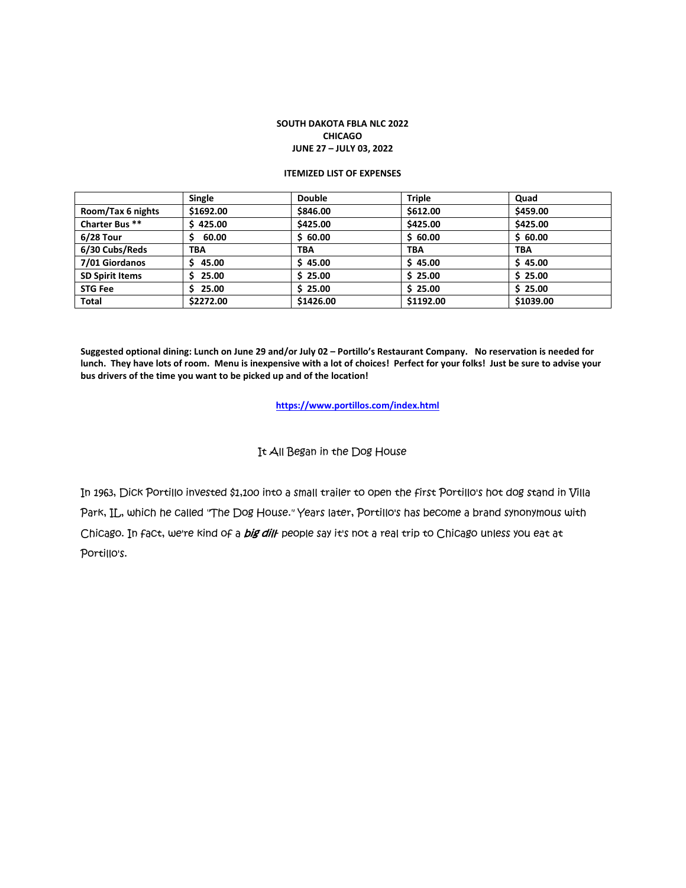#### **SOUTH DAKOTA FBLA NLC 2022 CHICAGO JUNE 27 – JULY 03, 2022**

#### **ITEMIZED LIST OF EXPENSES**

|                        | Single     | <b>Double</b> | <b>Triple</b> | Quad       |
|------------------------|------------|---------------|---------------|------------|
| Room/Tax 6 nights      | \$1692.00  | \$846.00      | \$612.00      | \$459.00   |
| Charter Bus **         | \$425.00   | \$425.00      | \$425.00      | \$425.00   |
| $6/28$ Tour            | 60.00      | \$60.00       | \$60.00       | \$60.00    |
| 6/30 Cubs/Reds         | <b>TBA</b> | <b>TBA</b>    | <b>TBA</b>    | <b>TBA</b> |
| 7/01 Giordanos         | 45.00      | \$45.00       | \$45.00       | \$45.00    |
| <b>SD Spirit Items</b> | 25.00      | \$25.00       | \$25.00       | \$25.00    |
| <b>STG Fee</b>         | 25.00      | \$25.00       | \$25.00       | \$25.00    |
| Total                  | \$2272.00  | \$1426.00     | \$1192.00     | \$1039.00  |

**Suggested optional dining: Lunch on June 29 and/or July 02 – Portillo's Restaurant Company. No reservation is needed for lunch. They have lots of room. Menu is inexpensive with a lot of choices! Perfect for your folks! Just be sure to advise your bus drivers of the time you want to be picked up and of the location!** 

**<https://www.portillos.com/index.html>**

#### It All Began in the Dog House

In 1963, Dick Portillo invested \$1,100 into a small trailer to open the first Portillo's hot dog stand in Villa Park, IL, which he called "The Dog House." Years later, Portillo's has become a brand synonymous with Chicago. In fact, we're kind of a *big dill*- people say it's not a real trip to Chicago unless you eat at Portillo's.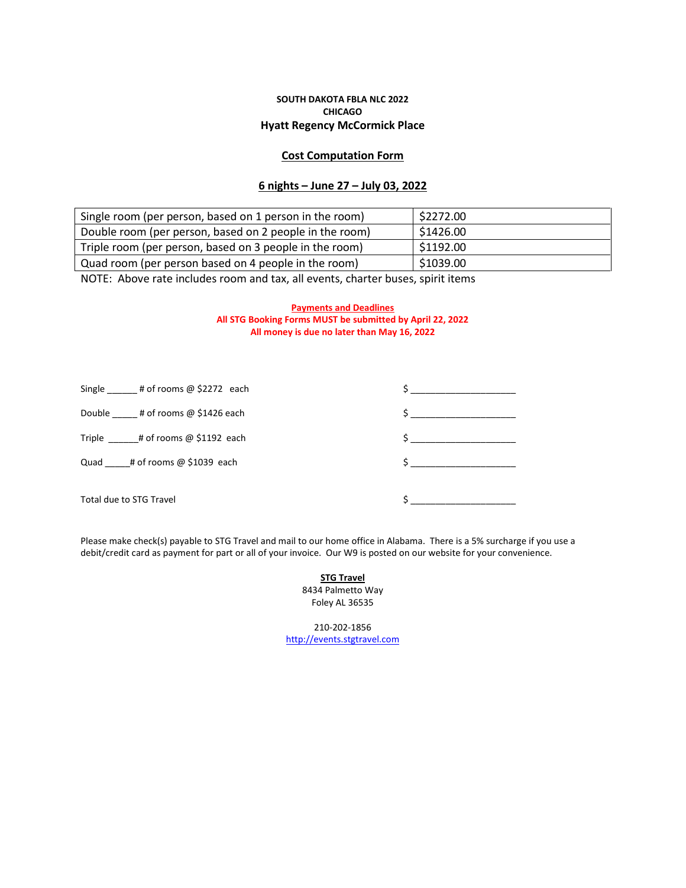#### **SOUTH DAKOTA FBLA NLC 2022 CHICAGO Hyatt Regency McCormick Place**

#### **Cost Computation Form**

#### **6 nights – June 27 – July 03, 2022**

| Single room (per person, based on 1 person in the room) | \$2272.00 |
|---------------------------------------------------------|-----------|
| Double room (per person, based on 2 people in the room) | \$1426.00 |
| Triple room (per person, based on 3 people in the room) | 51192.00  |
| Quad room (per person based on 4 people in the room)    | \$1039.00 |

NOTE: Above rate includes room and tax, all events, charter buses, spirit items

#### **Payments and Deadlines All STG Booking Forms MUST be submitted by April 22, 2022 All money is due no later than May 16, 2022**

| Single $\qquad$ # of rooms @ \$2272 each | $\frac{1}{2}$ |
|------------------------------------------|---------------|
| Double # of rooms @ \$1426 each          | $\frac{1}{2}$ |
| Triple $\qquad$ # of rooms @ \$1192 each | $\sharp$      |
| Quad # of rooms $@$ \$1039 each          | $\sharp$      |
| Total due to STG Travel                  |               |

Please make check(s) payable to STG Travel and mail to our home office in Alabama. There is a 5% surcharge if you use a debit/credit card as payment for part or all of your invoice. Our W9 is posted on our website for your convenience.

#### **STG Travel** 8434 Palmetto Way Foley AL 36535

210-202-1856 [http://events.stgtravel.com](http://events.stgtravel.com/)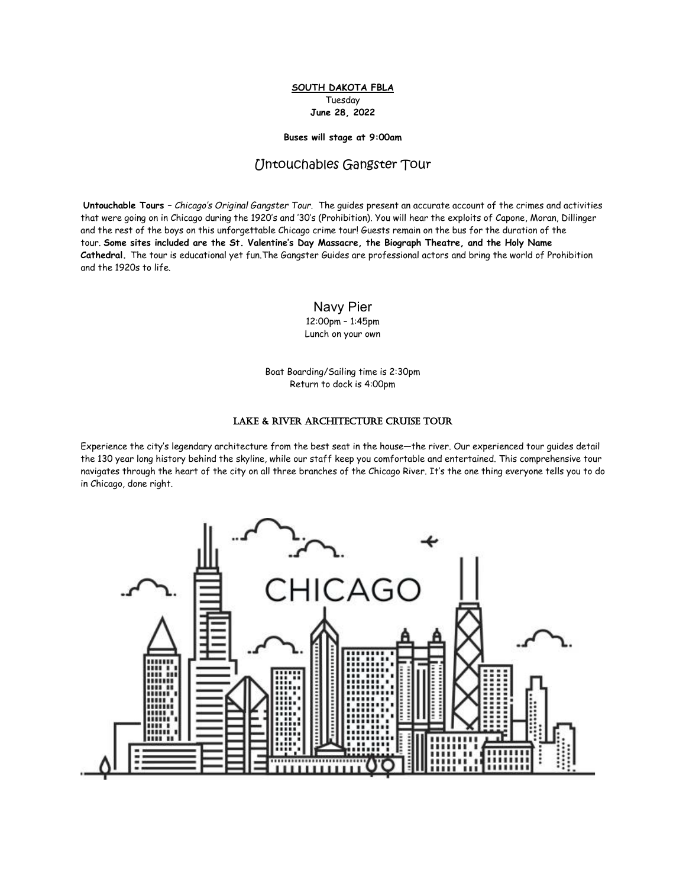#### **SOUTH DAKOTA FBLA** Tuesday **June 28, 2022**

#### **Buses will stage at 9:00am**

#### Untouchables Gangster Tour

**Untouchable Tours –** *Chicago's Original Gangster Tour.* The guides present an accurate account of the crimes and activities that were going on in Chicago during the 1920's and '30's (Prohibition). You will hear the exploits of Capone, Moran, Dillinger and the rest of the boys on this unforgettable Chicago crime tour! Guests remain on the bus for the duration of the tour. **Some sites included are the St. Valentine's Day Massacre, the Biograph Theatre, and the Holy Name Cathedral.** The tour is educational yet fun.The Gangster Guides are professional actors and bring the world of Prohibition and the 1920s to life.

Navy Pier

12:00pm – 1:45pm Lunch on your own

Boat Boarding/Sailing time is 2:30pm Return to dock is 4:00pm

#### Lake & River Architecture Cruise Tour

Experience the city's legendary architecture from the best seat in the house—the river. Our experienced tour guides detail the 130 year long history behind the skyline, while our staff keep you comfortable and entertained. This comprehensive tour navigates through the heart of the city on all three branches of the Chicago River. It's the one thing everyone tells you to do in Chicago, done right.

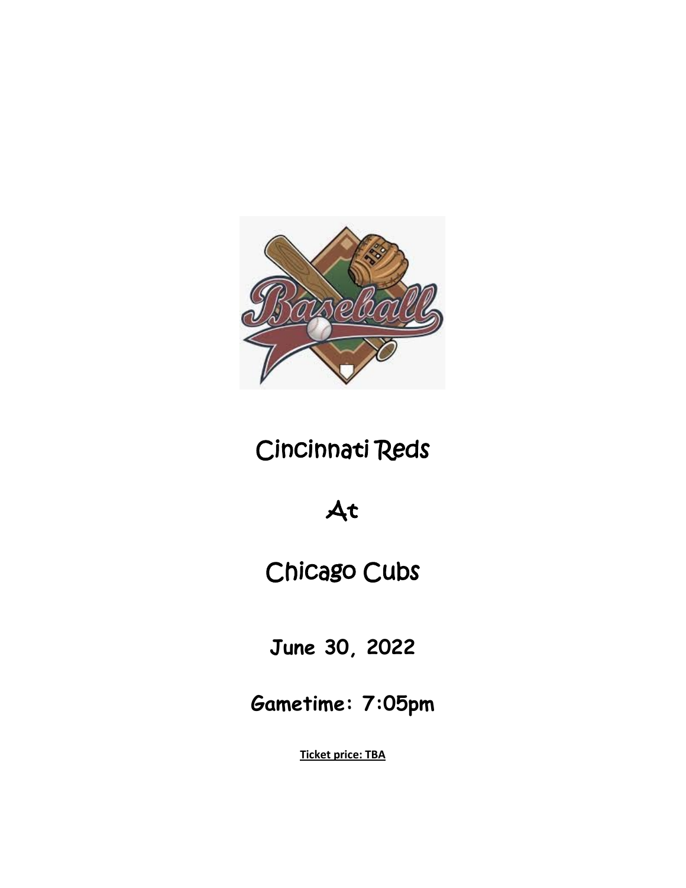

# Cincinnati Reds

## At

## Chicago Cubs

**June 30, 2022**

**Gametime: 7:05pm**

**Ticket price: TBA**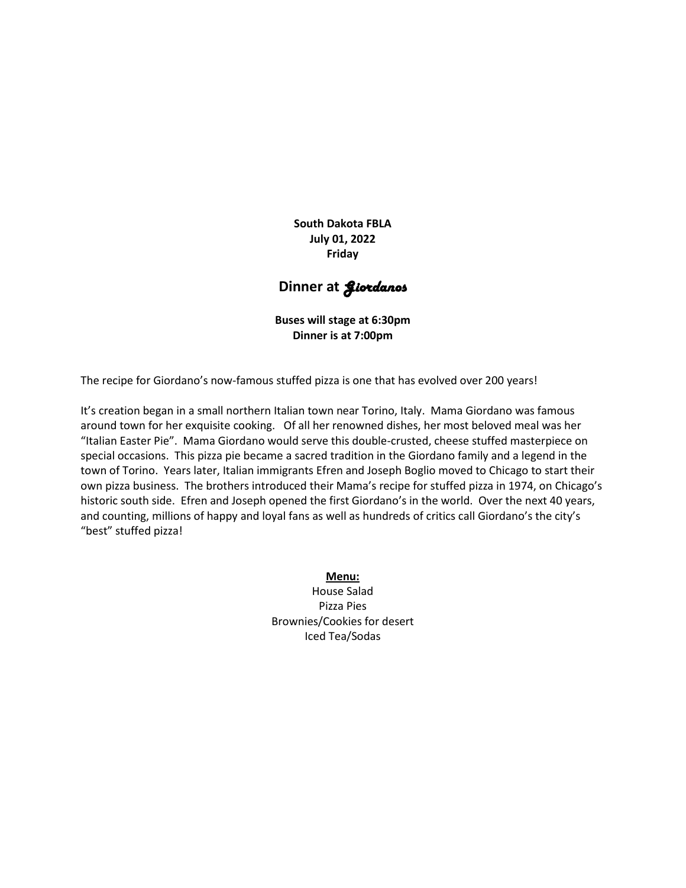**South Dakota FBLA July 01, 2022 Friday**

### **Dinner at** *Siordanos*

**Buses will stage at 6:30pm Dinner is at 7:00pm**

The recipe for Giordano's now-famous stuffed pizza is one that has evolved over 200 years!

It's creation began in a small northern Italian town near Torino, Italy. Mama Giordano was famous around town for her exquisite cooking. Of all her renowned dishes, her most beloved meal was her "Italian Easter Pie". Mama Giordano would serve this double-crusted, cheese stuffed masterpiece on special occasions. This pizza pie became a sacred tradition in the Giordano family and a legend in the town of Torino. Years later, Italian immigrants Efren and Joseph Boglio moved to Chicago to start their own pizza business. The brothers introduced their Mama's recipe for stuffed pizza in 1974, on Chicago's historic south side. Efren and Joseph opened the first Giordano's in the world. Over the next 40 years, and counting, millions of happy and loyal fans as well as hundreds of critics call Giordano's the city's "best" stuffed pizza!

> **Menu:** House Salad Pizza Pies Brownies/Cookies for desert Iced Tea/Sodas